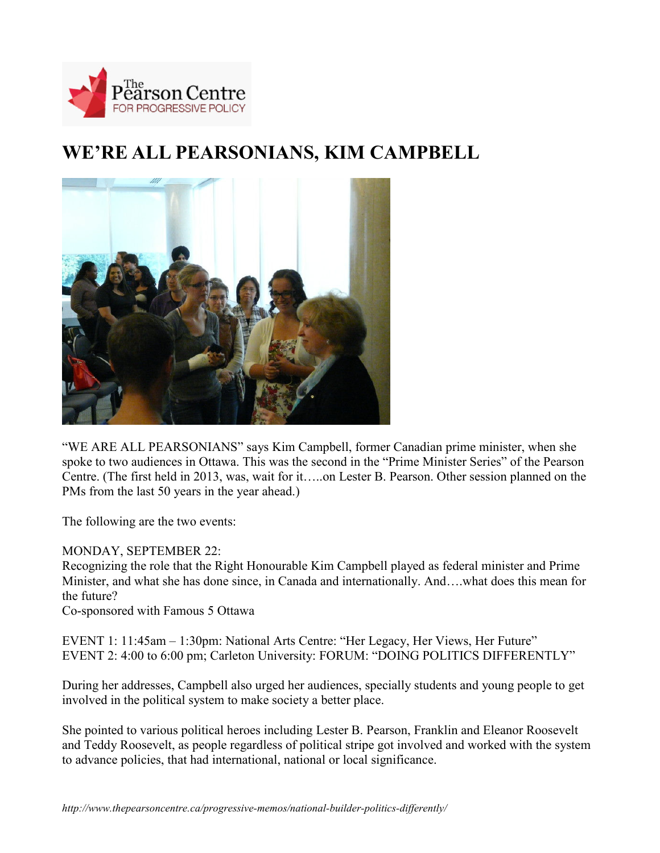

## **WE'RE ALL PEARSONIANS, KIM CAMPBELL**



"WE ARE ALL PEARSONIANS" says Kim Campbell, former Canadian prime minister, when she spoke to two audiences in Ottawa. This was the second in the "Prime Minister Series" of the Pearson Centre. (The first held in 2013, was, wait for it…..on Lester B. Pearson. Other session planned on the PMs from the last 50 years in the year ahead.)

The following are the two events:

## MONDAY, SEPTEMBER 22:

Recognizing the role that the Right Honourable Kim Campbell played as federal minister and Prime Minister, and what she has done since, in Canada and internationally. And….what does this mean for the future?

Co-sponsored with Famous 5 Ottawa

EVENT 1: 11:45am – 1:30pm: National Arts Centre: "Her Legacy, Her Views, Her Future" EVENT 2: 4:00 to 6:00 pm; Carleton University: FORUM: "DOING POLITICS DIFFERENTLY"

During her addresses, Campbell also urged her audiences, specially students and young people to get involved in the political system to make society a better place.

She pointed to various political heroes including Lester B. Pearson, Franklin and Eleanor Roosevelt and Teddy Roosevelt, as people regardless of political stripe got involved and worked with the system to advance policies, that had international, national or local significance.